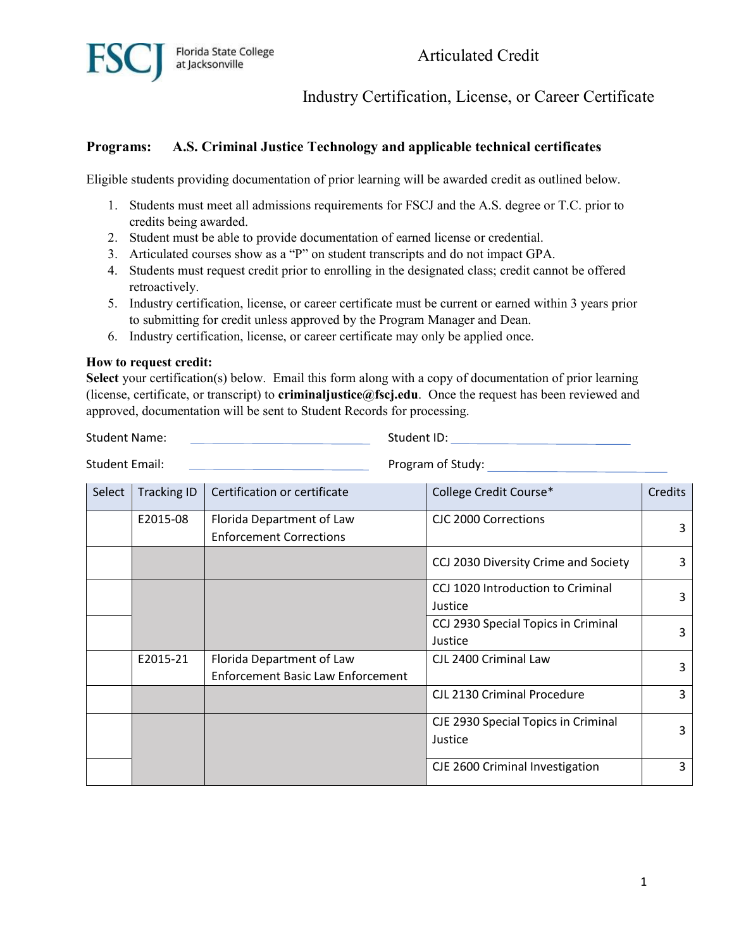

Articulated Credit

Industry Certification, License, or Career Certificate

## **Programs: A.S. Criminal Justice Technology and applicable technical certificates**

Eligible students providing documentation of prior learning will be awarded credit as outlined below.

- 1. Students must meet all admissions requirements for FSCJ and the A.S. degree or T.C. prior to credits being awarded.
- 2. Student must be able to provide documentation of earned license or credential.
- 3. Articulated courses show as a "P" on student transcripts and do not impact GPA.
- 4. Students must request credit prior to enrolling in the designated class; credit cannot be offered retroactively.
- 5. Industry certification, license, or career certificate must be current or earned within 3 years prior to submitting for credit unless approved by the Program Manager and Dean.
- 6. Industry certification, license, or career certificate may only be applied once.

## **How to request credit:**

**Select** your certification(s) below. Email this form along with a copy of documentation of prior learning (license, certificate, or transcript) to **criminaljustice@fscj.edu**. Once the request has been reviewed and approved, documentation will be sent to Student Records for processing.

Student Name: Student ID: Student ID: Student ID: Student ID: Student ID: Student ID: Student ID: Student ID: Student ID: Student ID: Student ID: Student ID: Student ID: Student ID: Student ID: Student ID: Student ID: Stud

Student Email: 2002. The Program of Study:

| Select | <b>Tracking ID</b> | Certification or certificate             | College Credit Course*               | Credits |
|--------|--------------------|------------------------------------------|--------------------------------------|---------|
|        | E2015-08           | Florida Department of Law                | CIC 2000 Corrections                 |         |
|        |                    | <b>Enforcement Corrections</b>           |                                      | 3       |
|        |                    |                                          | CCJ 2030 Diversity Crime and Society | 3       |
|        |                    |                                          | CCJ 1020 Introduction to Criminal    | 3       |
|        |                    |                                          | Justice                              |         |
|        |                    |                                          | CCJ 2930 Special Topics in Criminal  |         |
|        |                    |                                          | Justice                              | 3       |
|        | E2015-21           | Florida Department of Law                | CJL 2400 Criminal Law                |         |
|        |                    | <b>Enforcement Basic Law Enforcement</b> |                                      | 3       |
|        |                    |                                          | CJL 2130 Criminal Procedure          | 3       |
|        |                    |                                          | CJE 2930 Special Topics in Criminal  | 3       |
|        |                    |                                          | Justice                              |         |
|        |                    |                                          | CJE 2600 Criminal Investigation      | 3       |